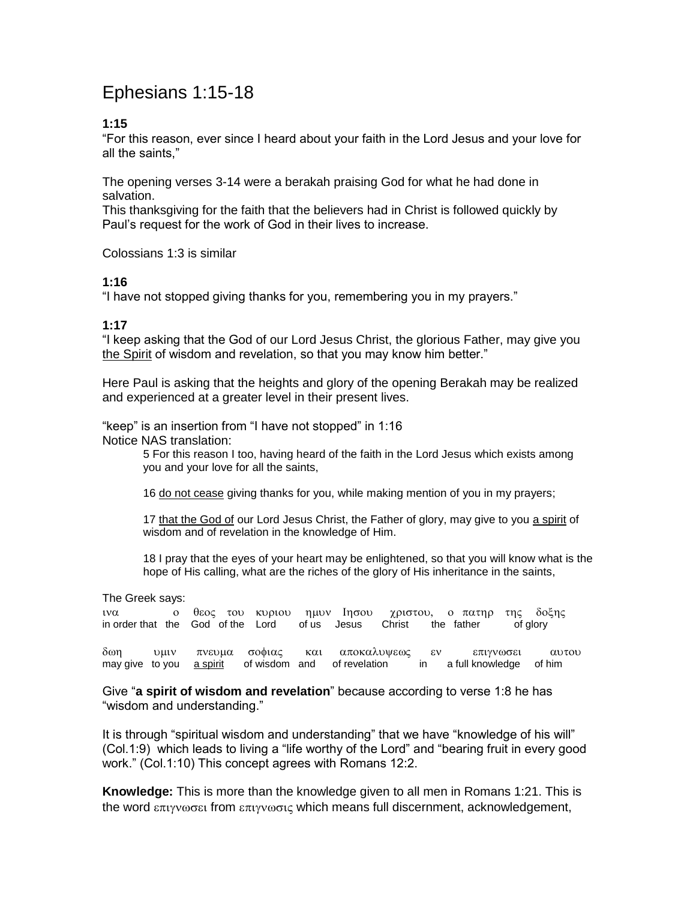# Ephesians 1:15-18

### **1:15**

"For this reason, ever since I heard about your faith in the Lord Jesus and your love for all the saints,"

The opening verses 3-14 were a berakah praising God for what he had done in salvation.

This thanksgiving for the faith that the believers had in Christ is followed quickly by Paul's request for the work of God in their lives to increase.

Colossians 1:3 is similar

#### **1:16**

"I have not stopped giving thanks for you, remembering you in my prayers."

#### **1:17**

"I keep asking that the God of our Lord Jesus Christ, the glorious Father, may give you the Spirit of wisdom and revelation, so that you may know him better."

Here Paul is asking that the heights and glory of the opening Berakah may be realized and experienced at a greater level in their present lives.

"keep" is an insertion from "I have not stopped" in 1:16

Notice NAS translation:

5 For this reason I too, having heard of the faith in the Lord Jesus which exists among you and your love for all the saints,

16 do not cease giving thanks for you, while making mention of you in my prayers;

17 that the God of our Lord Jesus Christ, the Father of glory, may give to you a spirit of wisdom and of revelation in the knowledge of Him.

18 I pray that the eyes of your heart may be enlightened, so that you will know what is the hope of His calling, what are the riches of the glory of His inheritance in the saints,

The Greek says:

| $1V\alpha$ | ο θεος του κυριου ημυν Ιησου χριστου, ο πατηρ της δοξης         |  |  |  |          |  |
|------------|-----------------------------------------------------------------|--|--|--|----------|--|
|            | in order that the God of the Lord of us Jesus Christ the father |  |  |  | of glory |  |

δωη υμιν πνευμα σοφιας και αποκαλυψεως εν επιγνωσει αυτου may give to you a spirit of wisdom and of revelation in a full knowledge of him

Give "**a spirit of wisdom and revelation**" because according to verse 1:8 he has "wisdom and understanding."

It is through "spiritual wisdom and understanding" that we have "knowledge of his will" (Col.1:9) which leads to living a "life worthy of the Lord" and "bearing fruit in every good work." (Col.1:10) This concept agrees with Romans 12:2.

**Knowledge:** This is more than the knowledge given to all men in Romans 1:21. This is the word  $\epsilon \pi v v \omega \sigma \epsilon t$  from  $\epsilon \pi v v \omega \sigma t \zeta$  which means full discernment, acknowledgement,